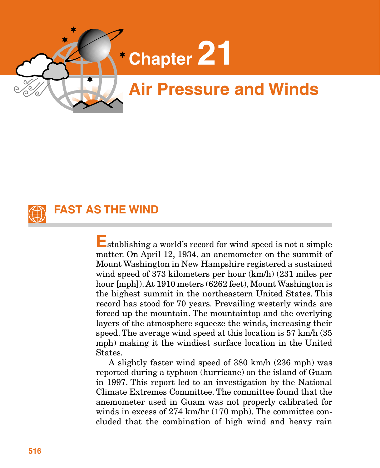



**E**stablishing a world's record for wind speed is not a simple matter. On April 12, 1934, an anemometer on the summit of Mount Washington in New Hampshire registered a sustained wind speed of 373 kilometers per hour (km/h) (231 miles per hour [mph]).At 1910 meters (6262 feet), Mount Washington is the highest summit in the northeastern United States. This record has stood for 70 years. Prevailing westerly winds are forced up the mountain. The mountaintop and the overlying layers of the atmosphere squeeze the winds, increasing their speed. The average wind speed at this location is 57 km/h (35 mph) making it the windiest surface location in the United States.

A slightly faster wind speed of 380 km/h (236 mph) was reported during a typhoon (hurricane) on the island of Guam in 1997. This report led to an investigation by the National Climate Extremes Committee. The committee found that the anemometer used in Guam was not properly calibrated for winds in excess of 274 km/hr (170 mph). The committee concluded that the combination of high wind and heavy rain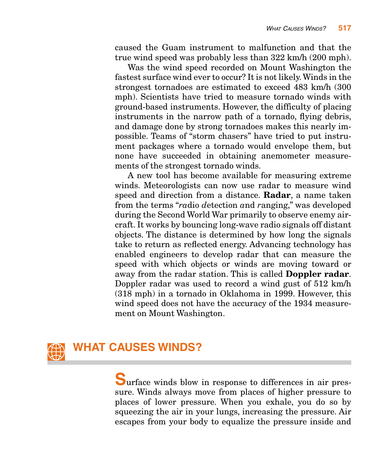caused the Guam instrument to malfunction and that the true wind speed was probably less than 322 km/h (200 mph).

Was the wind speed recorded on Mount Washington the fastest surface wind ever to occur? It is not likely.Winds in the strongest tornadoes are estimated to exceed 483 km/h (300 mph). Scientists have tried to measure tornado winds with ground-based instruments. However, the difficulty of placing instruments in the narrow path of a tornado, flying debris, and damage done by strong tornadoes makes this nearly impossible. Teams of "storm chasers" have tried to put instrument packages where a tornado would envelope them, but none have succeeded in obtaining anemometer measurements of the strongest tornado winds.

A new tool has become available for measuring extreme winds. Meteorologists can now use radar to measure wind speed and direction from a distance. **Radar**, a name taken from the terms "*ra*dio *d*etection *a*nd *r*anging," was developed during the Second World War primarily to observe enemy aircraft. It works by bouncing long-wave radio signals off distant objects. The distance is determined by how long the signals take to return as reflected energy. Advancing technology has enabled engineers to develop radar that can measure the speed with which objects or winds are moving toward or away from the radar station. This is called **Doppler radar**. Doppler radar was used to record a wind gust of 512 km/h (318 mph) in a tornado in Oklahoma in 1999. However, this wind speed does not have the accuracy of the 1934 measurement on Mount Washington.



## **WHAT CAUSES WINDS?**

**S**urface winds blow in response to differences in air pressure. Winds always move from places of higher pressure to places of lower pressure. When you exhale, you do so by squeezing the air in your lungs, increasing the pressure. Air escapes from your body to equalize the pressure inside and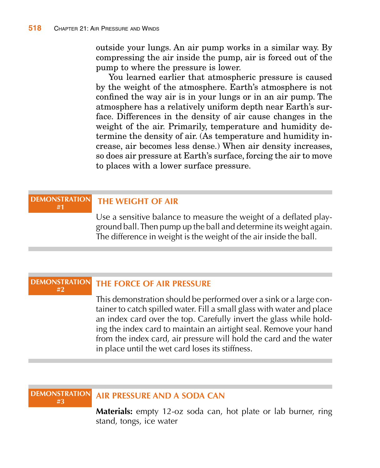outside your lungs. An air pump works in a similar way. By compressing the air inside the pump, air is forced out of the pump to where the pressure is lower.

You learned earlier that atmospheric pressure is caused by the weight of the atmosphere. Earth's atmosphere is not confined the way air is in your lungs or in an air pump. The atmosphere has a relatively uniform depth near Earth's surface. Differences in the density of air cause changes in the weight of the air. Primarily, temperature and humidity determine the density of air. (As temperature and humidity increase, air becomes less dense.) When air density increases, so does air pressure at Earth's surface, forcing the air to move to places with a lower surface pressure.

#### **THE WEIGHT OF AIR DEMONSTRATION #1**

Use a sensitive balance to measure the weight of a deflated playground ball. Then pump up the ball and determine its weight again. The difference in weight is the weight of the air inside the ball.

#### **THE FORCE OF AIR PRESSURE DEMONSTRATION**

This demonstration should be performed over a sink or a large container to catch spilled water. Fill a small glass with water and place an index card over the top. Carefully invert the glass while holding the index card to maintain an airtight seal. Remove your hand from the index card, air pressure will hold the card and the water in place until the wet card loses its stiffness.

#### **DEMONSTRATION #3**

**#2**

#### **AIR PRESSURE AND A SODA CAN**

**Materials:** empty 12-oz soda can, hot plate or lab burner, ring stand, tongs, ice water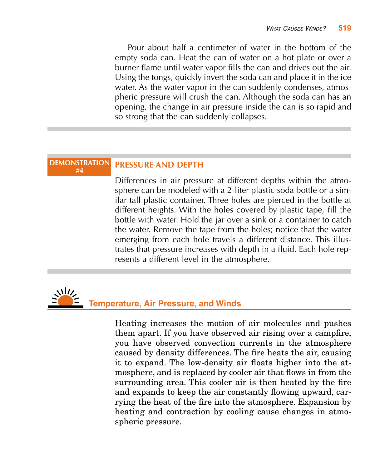Pour about half a centimeter of water in the bottom of the empty soda can. Heat the can of water on a hot plate or over a burner flame until water vapor fills the can and drives out the air. Using the tongs, quickly invert the soda can and place it in the ice water. As the water vapor in the can suddenly condenses, atmospheric pressure will crush the can. Although the soda can has an opening, the change in air pressure inside the can is so rapid and so strong that the can suddenly collapses.

#### **PRESSURE AND DEPTH DEMONSTRATION #4**

Differences in air pressure at different depths within the atmosphere can be modeled with a 2-liter plastic soda bottle or a similar tall plastic container. Three holes are pierced in the bottle at different heights. With the holes covered by plastic tape, fill the bottle with water. Hold the jar over a sink or a container to catch the water. Remove the tape from the holes; notice that the water emerging from each hole travels a different distance. This illustrates that pressure increases with depth in a fluid. Each hole represents a different level in the atmosphere.



Heating increases the motion of air molecules and pushes them apart. If you have observed air rising over a campfire, you have observed convection currents in the atmosphere caused by density differences. The fire heats the air, causing it to expand. The low-density air floats higher into the atmosphere, and is replaced by cooler air that flows in from the surrounding area. This cooler air is then heated by the fire and expands to keep the air constantly flowing upward, carrying the heat of the fire into the atmosphere. Expansion by heating and contraction by cooling cause changes in atmospheric pressure.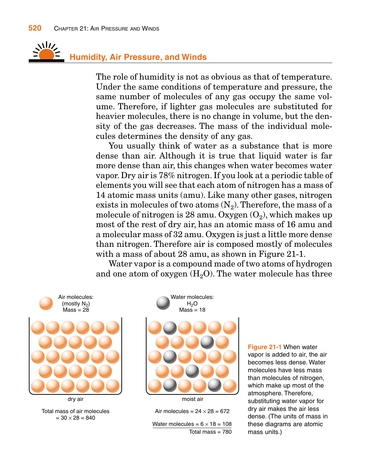$\nu$ **Humidity, Air Pressure, and Winds**

The role of humidity is not as obvious as that of temperature. Under the same conditions of temperature and pressure, the same number of molecules of any gas occupy the same volume. Therefore, if lighter gas molecules are substituted for heavier molecules, there is no change in volume, but the density of the gas decreases. The mass of the individual molecules determines the density of any gas.

You usually think of water as a substance that is more dense than air. Although it is true that liquid water is far more dense than air, this changes when water becomes water vapor. Dry air is 78% nitrogen. If you look at a periodic table of elements you will see that each atom of nitrogen has a mass of 14 atomic mass units (amu). Like many other gases, nitrogen exists in molecules of two atoms  $(N_2)$ . Therefore, the mass of a molecule of nitrogen is 28 amu. Oxygen  $(O_2)$ , which makes up most of the rest of dry air, has an atomic mass of 16 amu and a molecular mass of 32 amu. Oxygen is just a little more dense than nitrogen. Therefore air is composed mostly of molecules with a mass of about 28 amu, as shown in Figure 21-1.

Water vapor is a compound made of two atoms of hydrogen and one atom of oxygen  $(H<sub>2</sub>O)$ . The water molecule has three

Air molecules: (mostly  $N_2$ )  $Mass = 28$ 



Water molecules:  $H<sub>2</sub>O$  $Mass = 18$ 



Air molecules =  $24 \times 28 = 672$ Water molecules =  $6 \times 18 = 108$ Total mass  $= 780$  **Figure 21-1** When water vapor is added to air, the air becomes less dense. Water molecules have less mass than molecules of nitrogen, which make up most of the atmosphere. Therefore, substituting water vapor for dry air makes the air less dense. (The units of mass in these diagrams are atomic mass units.)

Total mass of air molecules  $= 30 \times 28 = 840$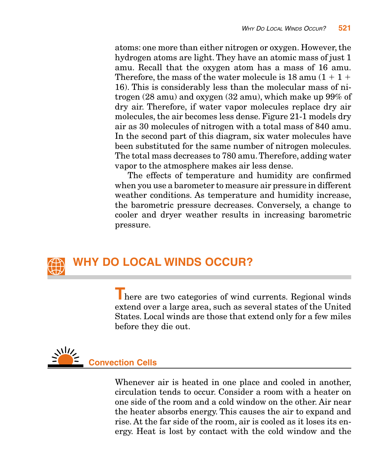atoms: one more than either nitrogen or oxygen. However, the hydrogen atoms are light. They have an atomic mass of just 1 amu. Recall that the oxygen atom has a mass of 16 amu. Therefore, the mass of the water molecule is  $18$  amu ( $1 + 1 + 1$ 16). This is considerably less than the molecular mass of nitrogen (28 amu) and oxygen (32 amu), which make up 99% of dry air. Therefore, if water vapor molecules replace dry air molecules, the air becomes less dense. Figure 21-1 models dry air as 30 molecules of nitrogen with a total mass of 840 amu. In the second part of this diagram, six water molecules have been substituted for the same number of nitrogen molecules. The total mass decreases to 780 amu.Therefore, adding water vapor to the atmosphere makes air less dense.

The effects of temperature and humidity are confirmed when you use a barometer to measure air pressure in different weather conditions. As temperature and humidity increase, the barometric pressure decreases. Conversely, a change to cooler and dryer weather results in increasing barometric pressure.

## **WHY DO LOCAL WINDS OCCUR?**

**T**here are two categories of wind currents. Regional winds extend over a large area, such as several states of the United States. Local winds are those that extend only for a few miles before they die out.



Whenever air is heated in one place and cooled in another, circulation tends to occur. Consider a room with a heater on one side of the room and a cold window on the other. Air near the heater absorbs energy. This causes the air to expand and rise. At the far side of the room, air is cooled as it loses its energy. Heat is lost by contact with the cold window and the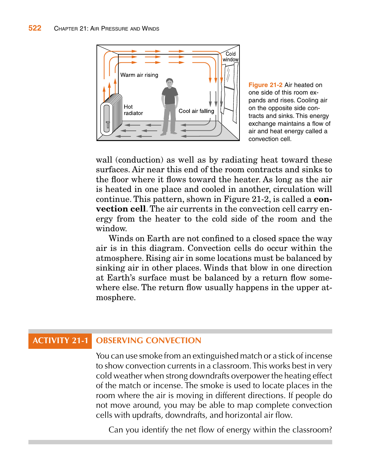

**Figure 21-2** Air heated on one side of this room expands and rises. Cooling air on the opposite side contracts and sinks. This energy exchange maintains a flow of air and heat energy called a convection cell.

wall (conduction) as well as by radiating heat toward these surfaces. Air near this end of the room contracts and sinks to the floor where it flows toward the heater. As long as the air is heated in one place and cooled in another, circulation will continue. This pattern, shown in Figure 21-2, is called a **convection cell**. The air currents in the convection cell carry energy from the heater to the cold side of the room and the window.

Winds on Earth are not confined to a closed space the way air is in this diagram. Convection cells do occur within the atmosphere. Rising air in some locations must be balanced by sinking air in other places. Winds that blow in one direction at Earth's surface must be balanced by a return flow somewhere else. The return flow usually happens in the upper atmosphere.

### **ACTIVITY 21-1 OBSERVING CONVECTION**

You can use smoke from an extinguished match or a stick of incense to show convection currents in a classroom. This works best in very cold weather when strong downdrafts overpower the heating effect of the match or incense. The smoke is used to locate places in the room where the air is moving in different directions. If people do not move around, you may be able to map complete convection cells with updrafts, downdrafts, and horizontal air flow.

Can you identify the net flow of energy within the classroom?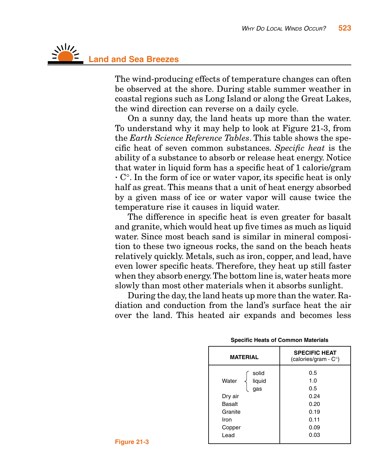## $\frac{1}{2}$ **Land and Sea Breezes**

The wind-producing effects of temperature changes can often be observed at the shore. During stable summer weather in coastal regions such as Long Island or along the Great Lakes, the wind direction can reverse on a daily cycle.

On a sunny day, the land heats up more than the water. To understand why it may help to look at Figure 21-3, from the *Earth Science Reference Tables*. This table shows the specific heat of seven common substances. *Specific heat* is the ability of a substance to absorb or release heat energy. Notice that water in liquid form has a specific heat of 1 calorie/gram - C°. In the form of ice or water vapor, its specific heat is only half as great. This means that a unit of heat energy absorbed by a given mass of ice or water vapor will cause twice the temperature rise it causes in liquid water.

The difference in specific heat is even greater for basalt and granite, which would heat up five times as much as liquid water. Since most beach sand is similar in mineral composition to these two igneous rocks, the sand on the beach heats relatively quickly. Metals, such as iron, copper, and lead, have even lower specific heats. Therefore, they heat up still faster when they absorb energy.The bottom line is, water heats more slowly than most other materials when it absorbs sunlight.

During the day, the land heats up more than the water. Radiation and conduction from the land's surface heat the air over the land. This heated air expands and becomes less

| <b>MATERIAL</b>                                                                                  | <b>SPECIFIC HEAT</b><br>(calories/gram $\cdot$ C°)                |  |
|--------------------------------------------------------------------------------------------------|-------------------------------------------------------------------|--|
| solid<br>Water<br>liquid<br>qas<br>Dry air<br><b>Basalt</b><br>Granite<br>Iron<br>Copper<br>Lead | 0.5<br>1.0<br>0.5<br>0.24<br>0.20<br>0.19<br>0.11<br>0.09<br>0.03 |  |

**Specific Heats of Common Materials**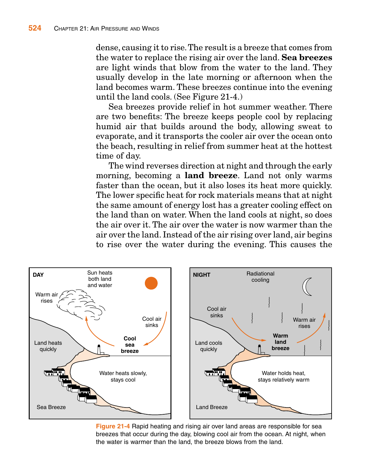dense, causing it to rise.The result is a breeze that comes from the water to replace the rising air over the land. **Sea breezes** are light winds that blow from the water to the land. They usually develop in the late morning or afternoon when the land becomes warm. These breezes continue into the evening until the land cools. (See Figure 21-4.)

Sea breezes provide relief in hot summer weather. There are two benefits: The breeze keeps people cool by replacing humid air that builds around the body, allowing sweat to evaporate, and it transports the cooler air over the ocean onto the beach, resulting in relief from summer heat at the hottest time of day.

The wind reverses direction at night and through the early morning, becoming a **land breeze**. Land not only warms faster than the ocean, but it also loses its heat more quickly. The lower specific heat for rock materials means that at night the same amount of energy lost has a greater cooling effect on the land than on water. When the land cools at night, so does the air over it. The air over the water is now warmer than the air over the land. Instead of the air rising over land, air begins to rise over the water during the evening. This causes the



**Figure 21-4** Rapid heating and rising air over land areas are responsible for sea breezes that occur during the day, blowing cool air from the ocean. At night, when the water is warmer than the land, the breeze blows from the land.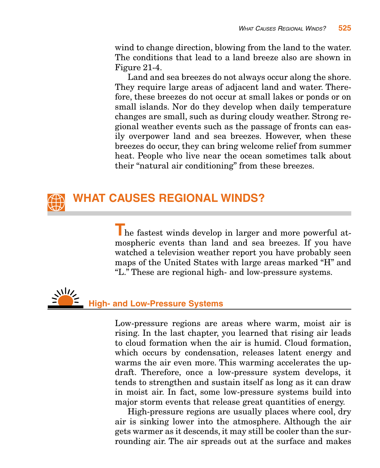wind to change direction, blowing from the land to the water. The conditions that lead to a land breeze also are shown in Figure 21-4.

Land and sea breezes do not always occur along the shore. They require large areas of adjacent land and water. Therefore, these breezes do not occur at small lakes or ponds or on small islands. Nor do they develop when daily temperature changes are small, such as during cloudy weather. Strong regional weather events such as the passage of fronts can easily overpower land and sea breezes. However, when these breezes do occur, they can bring welcome relief from summer heat. People who live near the ocean sometimes talk about their "natural air conditioning" from these breezes.



**T**he fastest winds develop in larger and more powerful atmospheric events than land and sea breezes. If you have watched a television weather report you have probably seen maps of the United States with large areas marked "H" and "L." These are regional high- and low-pressure systems.



Low-pressure regions are areas where warm, moist air is rising. In the last chapter, you learned that rising air leads to cloud formation when the air is humid. Cloud formation, which occurs by condensation, releases latent energy and warms the air even more. This warming accelerates the updraft. Therefore, once a low-pressure system develops, it tends to strengthen and sustain itself as long as it can draw in moist air. In fact, some low-pressure systems build into major storm events that release great quantities of energy.

High-pressure regions are usually places where cool, dry air is sinking lower into the atmosphere. Although the air gets warmer as it descends, it may still be cooler than the surrounding air. The air spreads out at the surface and makes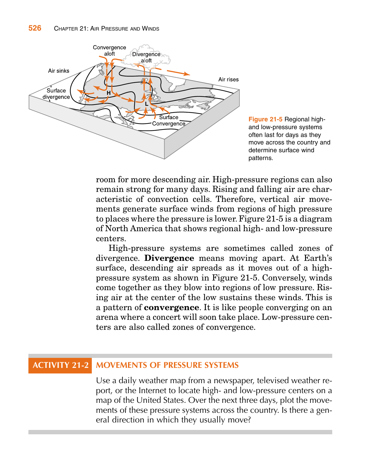

**Figure 21-5** Regional highand low-pressure systems often last for days as they move across the country and determine surface wind patterns.

room for more descending air. High-pressure regions can also remain strong for many days. Rising and falling air are characteristic of convection cells. Therefore, vertical air movements generate surface winds from regions of high pressure to places where the pressure is lower. Figure 21-5 is a diagram of North America that shows regional high- and low-pressure centers.

High-pressure systems are sometimes called zones of divergence. **Divergence** means moving apart. At Earth's surface, descending air spreads as it moves out of a highpressure system as shown in Figure 21-5. Conversely, winds come together as they blow into regions of low pressure. Rising air at the center of the low sustains these winds. This is a pattern of **convergence**. It is like people converging on an arena where a concert will soon take place. Low-pressure centers are also called zones of convergence.

#### **ACTIVITY 21-2 MOVEMENTS OF PRESSURE SYSTEMS**

Use a daily weather map from a newspaper, televised weather report, or the Internet to locate high- and low-pressure centers on a map of the United States. Over the next three days, plot the movements of these pressure systems across the country. Is there a general direction in which they usually move?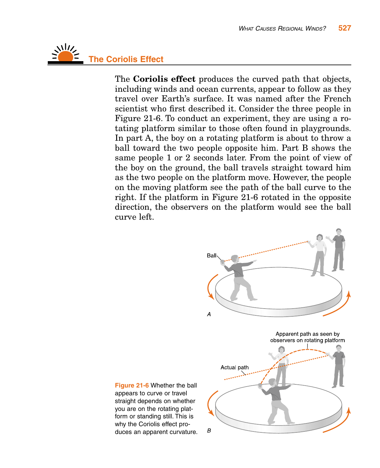

The **Coriolis effect** produces the curved path that objects, including winds and ocean currents, appear to follow as they travel over Earth's surface. It was named after the French scientist who first described it. Consider the three people in Figure 21-6. To conduct an experiment, they are using a rotating platform similar to those often found in playgrounds. In part A, the boy on a rotating platform is about to throw a ball toward the two people opposite him. Part B shows the same people 1 or 2 seconds later. From the point of view of the boy on the ground, the ball travels straight toward him as the two people on the platform move. However, the people on the moving platform see the path of the ball curve to the right. If the platform in Figure 21-6 rotated in the opposite direction, the observers on the platform would see the ball curve left.

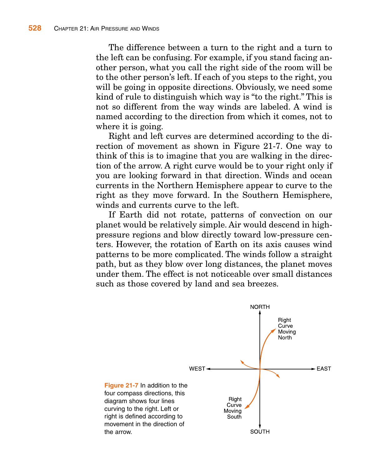The difference between a turn to the right and a turn to the left can be confusing. For example, if you stand facing another person, what you call the right side of the room will be to the other person's left. If each of you steps to the right, you will be going in opposite directions. Obviously, we need some kind of rule to distinguish which way is "to the right." This is not so different from the way winds are labeled. A wind is named according to the direction from which it comes, not to where it is going.

Right and left curves are determined according to the direction of movement as shown in Figure 21-7. One way to think of this is to imagine that you are walking in the direction of the arrow. A right curve would be to your right only if you are looking forward in that direction. Winds and ocean currents in the Northern Hemisphere appear to curve to the right as they move forward. In the Southern Hemisphere, winds and currents curve to the left.

If Earth did not rotate, patterns of convection on our planet would be relatively simple. Air would descend in highpressure regions and blow directly toward low-pressure centers. However, the rotation of Earth on its axis causes wind patterns to be more complicated. The winds follow a straight path, but as they blow over long distances, the planet moves under them. The effect is not noticeable over small distances such as those covered by land and sea breezes.

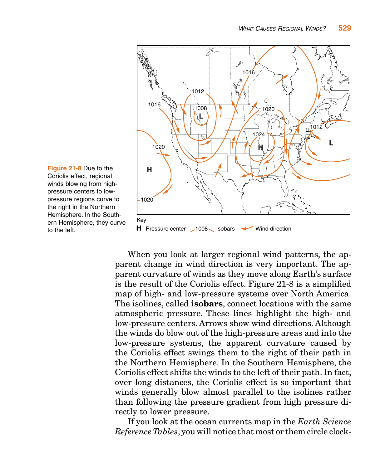

**Figure 21-8** Due to the Coriolis effect, regional winds blowing from highpressure centers to lowpressure regions curve to the right in the Northern Hemisphere. In the Southern Hemisphere, they curve to the left.

> When you look at larger regional wind patterns, the apparent change in wind direction is very important. The apparent curvature of winds as they move along Earth's surface is the result of the Coriolis effect. Figure 21-8 is a simplified map of high- and low-pressure systems over North America. The isolines, called **isobars**, connect locations with the same atmospheric pressure. These lines highlight the high- and low-pressure centers. Arrows show wind directions. Although the winds do blow out of the high-pressure areas and into the low-pressure systems, the apparent curvature caused by the Coriolis effect swings them to the right of their path in the Northern Hemisphere. In the Southern Hemisphere, the Coriolis effect shifts the winds to the left of their path. In fact, over long distances, the Coriolis effect is so important that winds generally blow almost parallel to the isolines rather than following the pressure gradient from high pressure directly to lower pressure.

> If you look at the ocean currents map in the *Earth Science Reference Tables*, you will notice that most or them circle clock-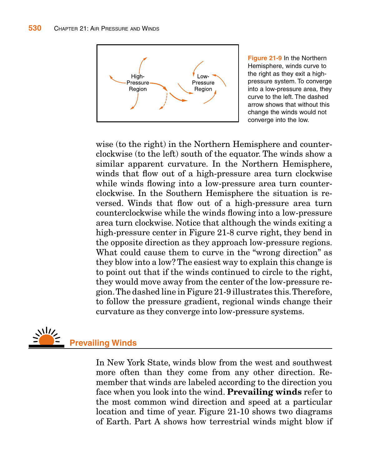

**Figure 21-9** In the Northern Hemisphere, winds curve to the right as they exit a highpressure system. To converge into a low-pressure area, they curve to the left. The dashed arrow shows that without this change the winds would not converge into the low.

wise (to the right) in the Northern Hemisphere and counterclockwise (to the left) south of the equator. The winds show a similar apparent curvature. In the Northern Hemisphere, winds that flow out of a high-pressure area turn clockwise while winds flowing into a low-pressure area turn counterclockwise. In the Southern Hemisphere the situation is reversed. Winds that flow out of a high-pressure area turn counterclockwise while the winds flowing into a low-pressure area turn clockwise. Notice that although the winds exiting a high-pressure center in Figure 21-8 curve right, they bend in the opposite direction as they approach low-pressure regions. What could cause them to curve in the "wrong direction" as they blow into a low? The easiest way to explain this change is to point out that if the winds continued to circle to the right, they would move away from the center of the low-pressure region.The dashed line in Figure 21-9 illustrates this.Therefore, to follow the pressure gradient, regional winds change their curvature as they converge into low-pressure systems.



In New York State, winds blow from the west and southwest more often than they come from any other direction. Remember that winds are labeled according to the direction you face when you look into the wind. **Prevailing winds** refer to the most common wind direction and speed at a particular location and time of year. Figure 21-10 shows two diagrams of Earth. Part A shows how terrestrial winds might blow if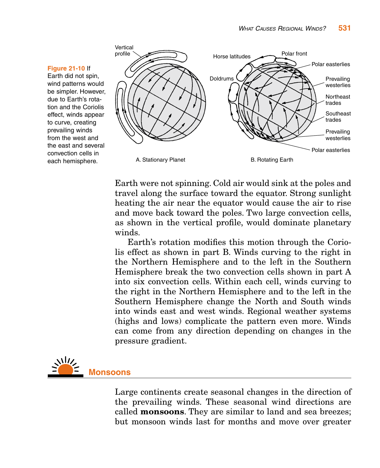

#### Earth were not spinning. Cold air would sink at the poles and travel along the surface toward the equator. Strong sunlight heating the air near the equator would cause the air to rise and move back toward the poles. Two large convection cells, as shown in the vertical profile, would dominate planetary winds.

Earth's rotation modifies this motion through the Coriolis effect as shown in part B. Winds curving to the right in the Northern Hemisphere and to the left in the Southern Hemisphere break the two convection cells shown in part A into six convection cells. Within each cell, winds curving to the right in the Northern Hemisphere and to the left in the Southern Hemisphere change the North and South winds into winds east and west winds. Regional weather systems (highs and lows) complicate the pattern even more. Winds can come from any direction depending on changes in the pressure gradient.



Large continents create seasonal changes in the direction of the prevailing winds. These seasonal wind directions are called **monsoons**. They are similar to land and sea breezes; but monsoon winds last for months and move over greater

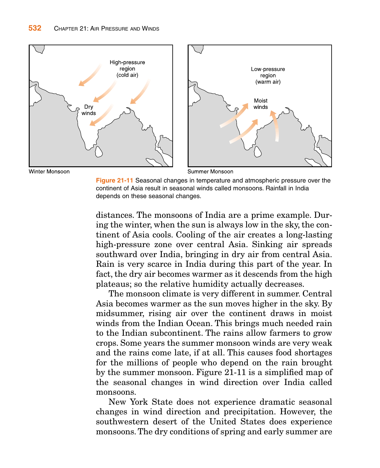

Winter Monsoon

Summer Monsoon



distances. The monsoons of India are a prime example. During the winter, when the sun is always low in the sky, the continent of Asia cools. Cooling of the air creates a long-lasting high-pressure zone over central Asia. Sinking air spreads southward over India, bringing in dry air from central Asia. Rain is very scarce in India during this part of the year. In fact, the dry air becomes warmer as it descends from the high plateaus; so the relative humidity actually decreases.

The monsoon climate is very different in summer. Central Asia becomes warmer as the sun moves higher in the sky. By midsummer, rising air over the continent draws in moist winds from the Indian Ocean. This brings much needed rain to the Indian subcontinent. The rains allow farmers to grow crops. Some years the summer monsoon winds are very weak and the rains come late, if at all. This causes food shortages for the millions of people who depend on the rain brought by the summer monsoon. Figure 21-11 is a simplified map of the seasonal changes in wind direction over India called monsoons.

New York State does not experience dramatic seasonal changes in wind direction and precipitation. However, the southwestern desert of the United States does experience monsoons. The dry conditions of spring and early summer are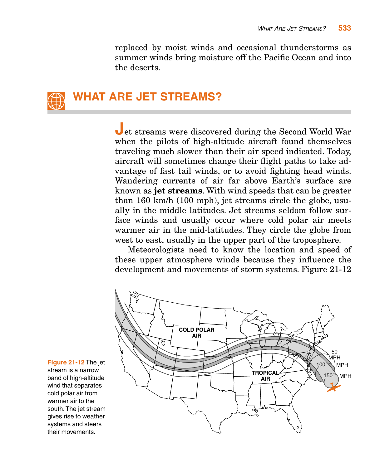replaced by moist winds and occasional thunderstorms as summer winds bring moisture off the Pacific Ocean and into the deserts.

## **WHAT ARE JET STREAMS?**

**J**et streams were discovered during the Second World War when the pilots of high-altitude aircraft found themselves traveling much slower than their air speed indicated. Today, aircraft will sometimes change their flight paths to take advantage of fast tail winds, or to avoid fighting head winds. Wandering currents of air far above Earth's surface are known as **jet streams**. With wind speeds that can be greater than 160 km/h (100 mph), jet streams circle the globe, usually in the middle latitudes. Jet streams seldom follow surface winds and usually occur where cold polar air meets warmer air in the mid-latitudes. They circle the globe from west to east, usually in the upper part of the troposphere.

Meteorologists need to know the location and speed of these upper atmosphere winds because they influence the development and movements of storm systems. Figure 21-12



**Figure 21-12** The jet stream is a narrow band of high-altitude wind that separates cold polar air from warmer air to the south. The jet stream gives rise to weather systems and steers their movements.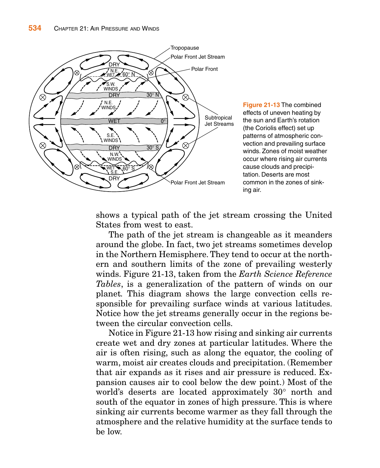

**Figure 21-13** The combined effects of uneven heating by the sun and Earth's rotation (the Coriolis effect) set up patterns of atmospheric convection and prevailing surface winds. Zones of moist weather occur where rising air currents cause clouds and precipitation. Deserts are most common in the zones of sinking air.

shows a typical path of the jet stream crossing the United States from west to east.

The path of the jet stream is changeable as it meanders around the globe. In fact, two jet streams sometimes develop in the Northern Hemisphere. They tend to occur at the northern and southern limits of the zone of prevailing westerly winds. Figure 21-13, taken from the *Earth Science Reference Tables*, is a generalization of the pattern of winds on our planet*.* This diagram shows the large convection cells responsible for prevailing surface winds at various latitudes. Notice how the jet streams generally occur in the regions between the circular convection cells.

Notice in Figure 21-13 how rising and sinking air currents create wet and dry zones at particular latitudes. Where the air is often rising, such as along the equator, the cooling of warm, moist air creates clouds and precipitation. (Remember that air expands as it rises and air pressure is reduced. Expansion causes air to cool below the dew point.) Most of the world's deserts are located approximately 30° north and south of the equator in zones of high pressure. This is where sinking air currents become warmer as they fall through the atmosphere and the relative humidity at the surface tends to be low.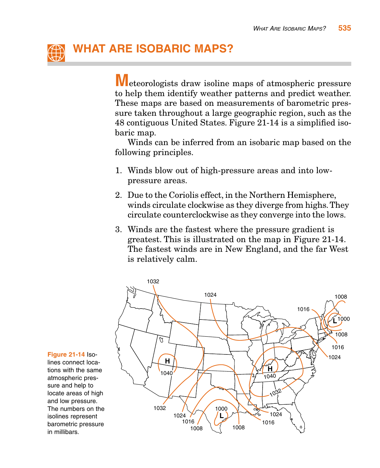# **WHAT ARE ISOBARIC MAPS?**

**M**eteorologists draw isoline maps of atmospheric pressure to help them identify weather patterns and predict weather. These maps are based on measurements of barometric pressure taken throughout a large geographic region, such as the 48 contiguous United States. Figure 21-14 is a simplified isobaric map.

Winds can be inferred from an isobaric map based on the following principles.

- 1. Winds blow out of high-pressure areas and into lowpressure areas.
- 2. Due to the Coriolis effect, in the Northern Hemisphere, winds circulate clockwise as they diverge from highs. They circulate counterclockwise as they converge into the lows.
- 3. Winds are the fastest where the pressure gradient is greatest. This is illustrated on the map in Figure 21-14. The fastest winds are in New England, and the far West is relatively calm.



**Figure 21-14** Isolines connect locations with the same atmospheric pressure and help to locate areas of high and low pressure. The numbers on the isolines represent barometric pressure in millibars.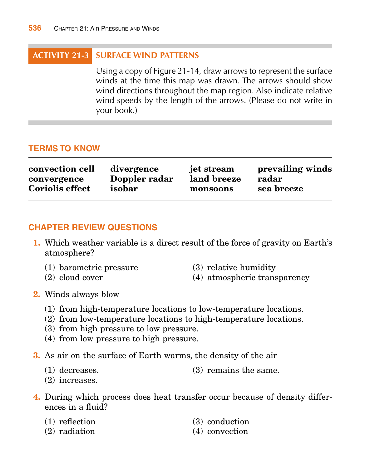### **ACTIVITY 21-3 SURFACE WIND PATTERNS**

Using a copy of Figure 21-14, draw arrows to represent the surface winds at the time this map was drawn. The arrows should show wind directions throughout the map region. Also indicate relative wind speeds by the length of the arrows. (Please do not write in your book.)

### **TERMS TO KNOW**

| convection cell        | divergence    | jet stream  | prevailing winds |
|------------------------|---------------|-------------|------------------|
| convergence            | Doppler radar | land breeze | radar            |
| <b>Coriolis effect</b> | isobar        | monsoons    | sea breeze       |
|                        |               |             |                  |

#### **CHAPTER REVIEW QUESTIONS**

- **1.** Which weather variable is a direct result of the force of gravity on Earth's atmosphere?
	- (1) barometric pressure (3) relative humidity
	-
- 
- (2) cloud cover (4) atmospheric transparency
- **2.** Winds always blow
	- (1) from high-temperature locations to low-temperature locations.
	- (2) from low-temperature locations to high-temperature locations.
	- (3) from high pressure to low pressure.
	- (4) from low pressure to high pressure.
- **3.** As air on the surface of Earth warms, the density of the air
	- (1) decreases. (3) remains the same.
	- (2) increases.
- **4.** During which process does heat transfer occur because of density differences in a fluid?
	- (1) reflection (3) conduction
	- (2) radiation (4) convection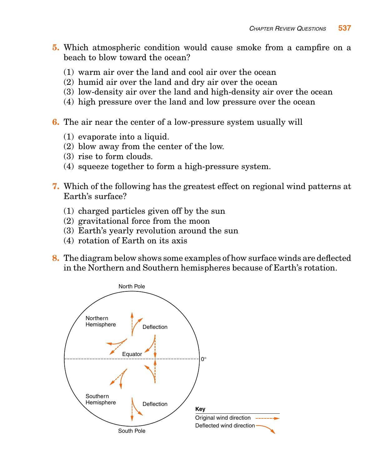- **5.** Which atmospheric condition would cause smoke from a campfire on a beach to blow toward the ocean?
	- (1) warm air over the land and cool air over the ocean
	- (2) humid air over the land and dry air over the ocean
	- (3) low-density air over the land and high-density air over the ocean
	- (4) high pressure over the land and low pressure over the ocean
- **6.** The air near the center of a low-pressure system usually will
	- (1) evaporate into a liquid.
	- (2) blow away from the center of the low.
	- (3) rise to form clouds.
	- (4) squeeze together to form a high-pressure system.
- **7.** Which of the following has the greatest effect on regional wind patterns at Earth's surface?
	- (1) charged particles given off by the sun
	- (2) gravitational force from the moon
	- (3) Earth's yearly revolution around the sun
	- (4) rotation of Earth on its axis
- **8.** The diagram below shows some examples of how surface winds are deflected in the Northern and Southern hemispheres because of Earth's rotation.

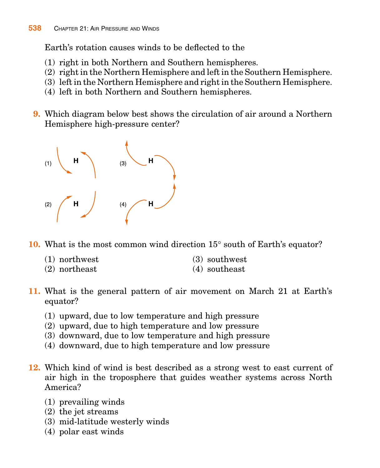Earth's rotation causes winds to be deflected to the

- (1) right in both Northern and Southern hemispheres.
- (2) right in the Northern Hemisphere and left in the Southern Hemisphere.
- (3) left in the Northern Hemisphere and right in the Southern Hemisphere.
- (4) left in both Northern and Southern hemispheres.
- **9.** Which diagram below best shows the circulation of air around a Northern Hemisphere high-pressure center?



**10.** What is the most common wind direction 15° south of Earth's equator?

- (1) northwest (3) southwest
	-
- (2) northeast (4) southeast
	-
- **11.** What is the general pattern of air movement on March 21 at Earth's equator?
	- (1) upward, due to low temperature and high pressure
	- (2) upward, due to high temperature and low pressure
	- (3) downward, due to low temperature and high pressure
	- (4) downward, due to high temperature and low pressure
- **12.** Which kind of wind is best described as a strong west to east current of air high in the troposphere that guides weather systems across North America?
	- (1) prevailing winds
	- (2) the jet streams
	- (3) mid-latitude westerly winds
	- (4) polar east winds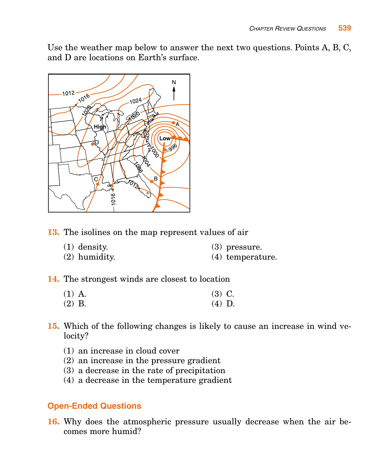Use the weather map below to answer the next two questions. Points A, B, C, and D are locations on Earth's surface.



- **13.** The isolines on the map represent values of air
	- (1) density. (3) pressure.
	- (2) humidity. (4) temperature.
- **14.** The strongest winds are closest to location
	- (1) A.  $(3)$  C. (2) B. (4) D.
- **15.** Which of the following changes is likely to cause an increase in wind velocity?
	- (1) an increase in cloud cover
	- (2) an increase in the pressure gradient
	- (3) a decrease in the rate of precipitation
	- (4) a decrease in the temperature gradient

### **Open-Ended Questions**

**16.** Why does the atmospheric pressure usually decrease when the air becomes more humid?